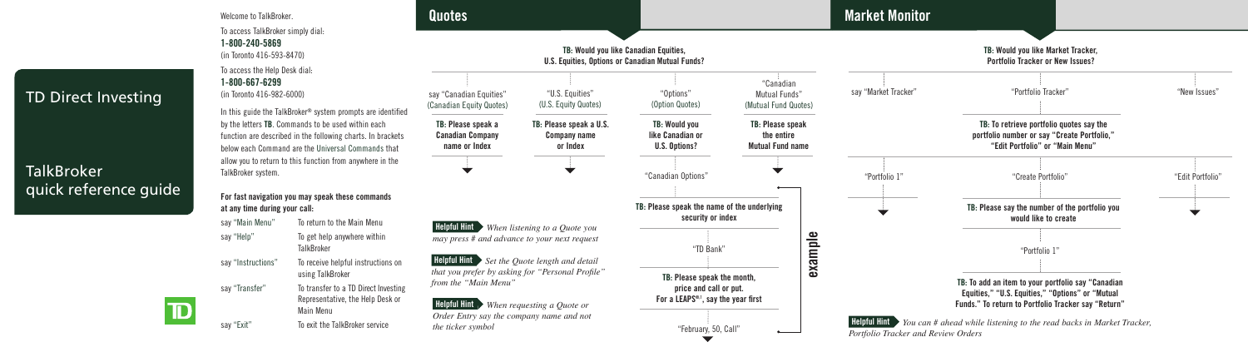## TD Direct Investing

**Brokerage**

TD

## **quick reference guide** TalkBroker quick reference guide

To access TalkBroker simply dial: **1-800-240-5869** (in Toronto 416-593-8470) To access the Help Desk dial: **1-800-667-6299** (in Toronto 416-982-6000)

Welcome to TalkBroker.

In this guide the TalkBroker® system prompts are identified by the letters **TB**. Commands to be used within each function are described in the following charts. In brackets below each Command are the Universal Commands that allow you to return to this function from anywhere in the TalkBroker system.

**For fast navigation you may speak these commands at any time during your call:**

say "Main Menu" To return to the Main Menu say "Help" To get help anywhere within TalkBroker say "Instructions" To receive helpful instructions on using TalkBroker say "Transfer" To transfer to a TD Direct Investing Representative, the Help Desk or Main Menu say "Exit" To exit the TalkBroker service